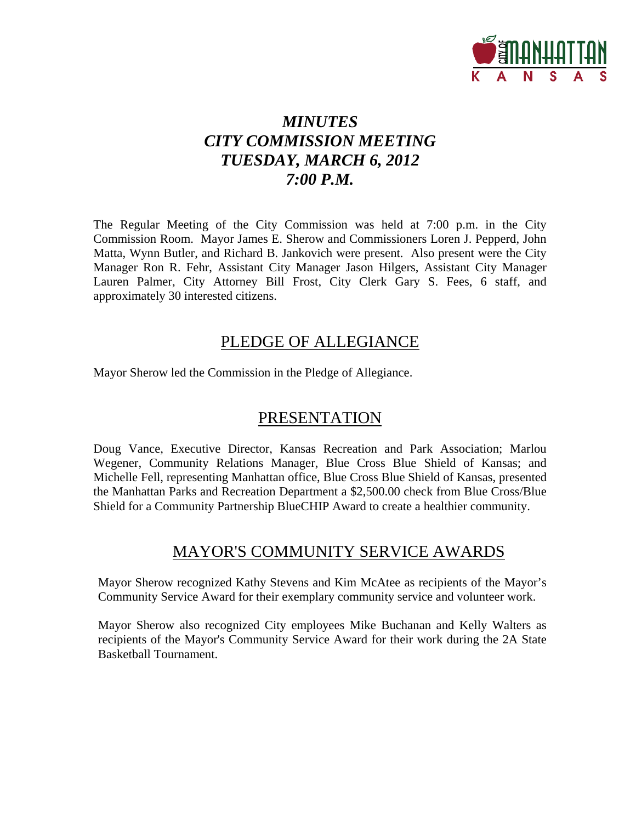

# *MINUTES CITY COMMISSION MEETING TUESDAY, MARCH 6, 2012 7:00 P.M.*

The Regular Meeting of the City Commission was held at 7:00 p.m. in the City Commission Room. Mayor James E. Sherow and Commissioners Loren J. Pepperd, John Matta, Wynn Butler, and Richard B. Jankovich were present. Also present were the City Manager Ron R. Fehr, Assistant City Manager Jason Hilgers, Assistant City Manager Lauren Palmer, City Attorney Bill Frost, City Clerk Gary S. Fees, 6 staff, and approximately 30 interested citizens.

### PLEDGE OF ALLEGIANCE

Mayor Sherow led the Commission in the Pledge of Allegiance.

# PRESENTATION

Doug Vance, Executive Director, Kansas Recreation and Park Association; Marlou Wegener, Community Relations Manager, Blue Cross Blue Shield of Kansas; and Michelle Fell, representing Manhattan office, Blue Cross Blue Shield of Kansas, presented the Manhattan Parks and Recreation Department a \$2,500.00 check from Blue Cross/Blue Shield for a Community Partnership BlueCHIP Award to create a healthier community.

### MAYOR'S COMMUNITY SERVICE AWARDS

Mayor Sherow recognized Kathy Stevens and Kim McAtee as recipients of the Mayor's Community Service Award for their exemplary community service and volunteer work.

Mayor Sherow also recognized City employees Mike Buchanan and Kelly Walters as recipients of the Mayor's Community Service Award for their work during the 2A State Basketball Tournament.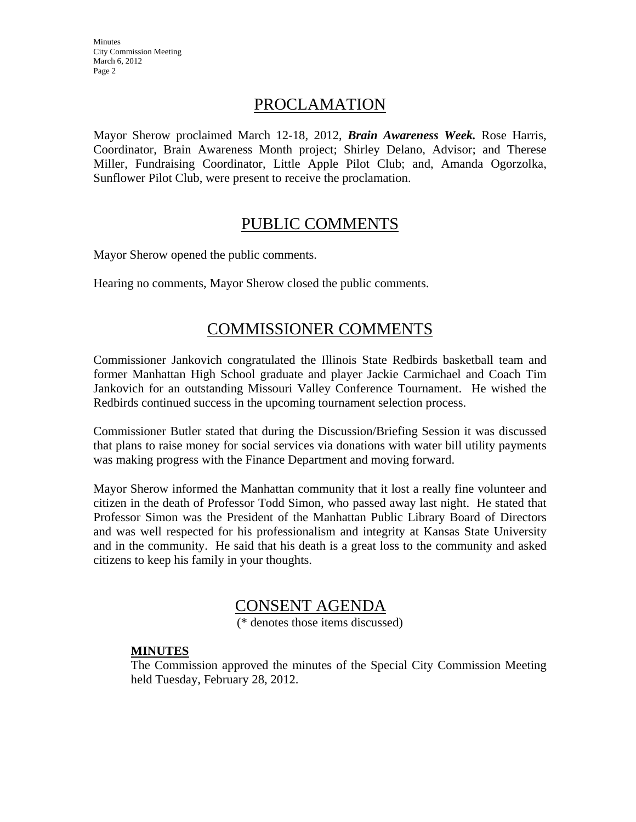### PROCLAMATION

Mayor Sherow proclaimed March 12-18, 2012, *Brain Awareness Week.* Rose Harris, Coordinator, Brain Awareness Month project; Shirley Delano, Advisor; and Therese Miller, Fundraising Coordinator, Little Apple Pilot Club; and, Amanda Ogorzolka, Sunflower Pilot Club, were present to receive the proclamation.

### PUBLIC COMMENTS

Mayor Sherow opened the public comments.

Hearing no comments, Mayor Sherow closed the public comments.

## COMMISSIONER COMMENTS

Commissioner Jankovich congratulated the Illinois State Redbirds basketball team and former Manhattan High School graduate and player Jackie Carmichael and Coach Tim Jankovich for an outstanding Missouri Valley Conference Tournament. He wished the Redbirds continued success in the upcoming tournament selection process.

Commissioner Butler stated that during the Discussion/Briefing Session it was discussed that plans to raise money for social services via donations with water bill utility payments was making progress with the Finance Department and moving forward.

Mayor Sherow informed the Manhattan community that it lost a really fine volunteer and citizen in the death of Professor Todd Simon, who passed away last night. He stated that Professor Simon was the President of the Manhattan Public Library Board of Directors and was well respected for his professionalism and integrity at Kansas State University and in the community. He said that his death is a great loss to the community and asked citizens to keep his family in your thoughts.

# CONSENT AGENDA

(\* denotes those items discussed)

### **MINUTES**

The Commission approved the minutes of the Special City Commission Meeting held Tuesday, February 28, 2012.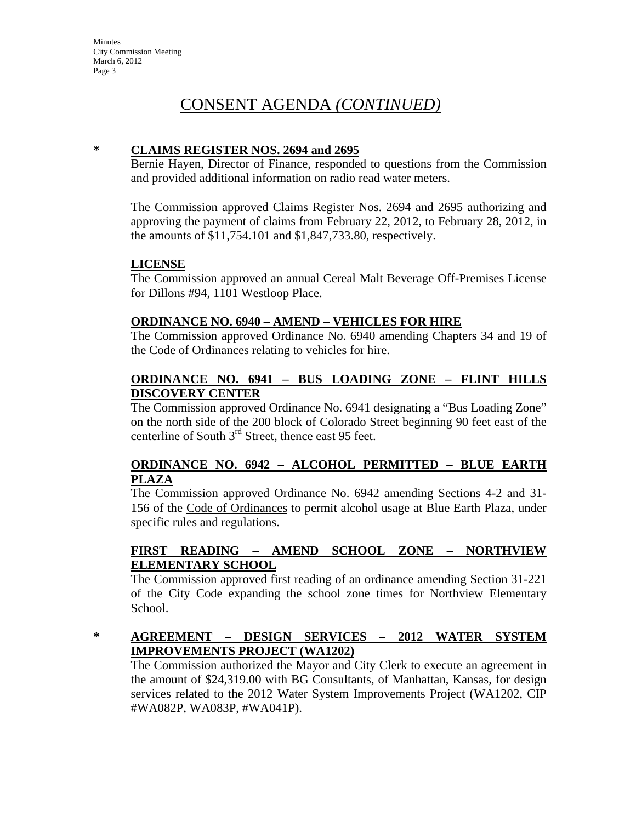# CONSENT AGENDA *(CONTINUED)*

#### **\* CLAIMS REGISTER NOS. 2694 and 2695**

Bernie Hayen, Director of Finance, responded to questions from the Commission and provided additional information on radio read water meters.

The Commission approved Claims Register Nos. 2694 and 2695 authorizing and approving the payment of claims from February 22, 2012, to February 28, 2012, in the amounts of \$11,754.101 and \$1,847,733.80, respectively.

#### **LICENSE**

The Commission approved an annual Cereal Malt Beverage Off-Premises License for Dillons #94, 1101 Westloop Place.

#### **ORDINANCE NO. 6940 – AMEND – VEHICLES FOR HIRE**

The Commission approved Ordinance No. 6940 amending Chapters 34 and 19 of the Code of Ordinances relating to vehicles for hire.

#### **ORDINANCE NO. 6941 – BUS LOADING ZONE – FLINT HILLS DISCOVERY CENTER**

The Commission approved Ordinance No. 6941 designating a "Bus Loading Zone" on the north side of the 200 block of Colorado Street beginning 90 feet east of the centerline of South  $3<sup>rd</sup>$  Street, thence east 95 feet.

### **ORDINANCE NO. 6942 – ALCOHOL PERMITTED – BLUE EARTH PLAZA**

The Commission approved Ordinance No. 6942 amending Sections 4-2 and 31- 156 of the Code of Ordinances to permit alcohol usage at Blue Earth Plaza, under specific rules and regulations.

### **FIRST READING – AMEND SCHOOL ZONE – NORTHVIEW ELEMENTARY SCHOOL**

The Commission approved first reading of an ordinance amending Section 31-221 of the City Code expanding the school zone times for Northview Elementary School.

### **\* AGREEMENT – DESIGN SERVICES – 2012 WATER SYSTEM IMPROVEMENTS PROJECT (WA1202)**

The Commission authorized the Mayor and City Clerk to execute an agreement in the amount of \$24,319.00 with BG Consultants, of Manhattan, Kansas, for design services related to the 2012 Water System Improvements Project (WA1202, CIP #WA082P, WA083P, #WA041P).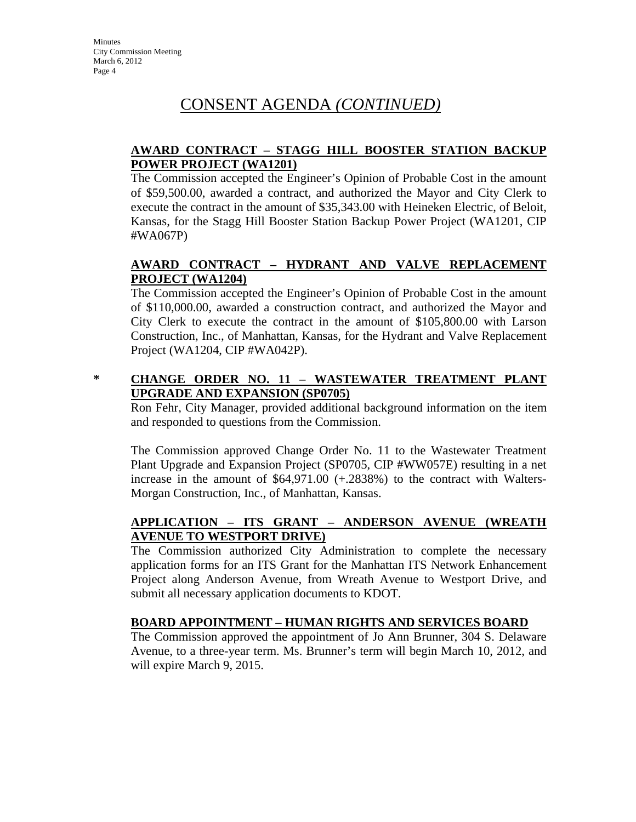# CONSENT AGENDA *(CONTINUED)*

### **AWARD CONTRACT – STAGG HILL BOOSTER STATION BACKUP POWER PROJECT (WA1201)**

The Commission accepted the Engineer's Opinion of Probable Cost in the amount of \$59,500.00, awarded a contract, and authorized the Mayor and City Clerk to execute the contract in the amount of \$35,343.00 with Heineken Electric, of Beloit, Kansas, for the Stagg Hill Booster Station Backup Power Project (WA1201, CIP #WA067P)

### **AWARD CONTRACT – HYDRANT AND VALVE REPLACEMENT PROJECT (WA1204)**

The Commission accepted the Engineer's Opinion of Probable Cost in the amount of \$110,000.00, awarded a construction contract, and authorized the Mayor and City Clerk to execute the contract in the amount of \$105,800.00 with Larson Construction, Inc., of Manhattan, Kansas, for the Hydrant and Valve Replacement Project (WA1204, CIP #WA042P).

### **\* CHANGE ORDER NO. 11 – WASTEWATER TREATMENT PLANT UPGRADE AND EXPANSION (SP0705)**

Ron Fehr, City Manager, provided additional background information on the item and responded to questions from the Commission.

The Commission approved Change Order No. 11 to the Wastewater Treatment Plant Upgrade and Expansion Project (SP0705, CIP #WW057E) resulting in a net increase in the amount of \$64,971.00 (+.2838%) to the contract with Walters-Morgan Construction, Inc., of Manhattan, Kansas.

### **APPLICATION – ITS GRANT – ANDERSON AVENUE (WREATH AVENUE TO WESTPORT DRIVE)**

The Commission authorized City Administration to complete the necessary application forms for an ITS Grant for the Manhattan ITS Network Enhancement Project along Anderson Avenue, from Wreath Avenue to Westport Drive, and submit all necessary application documents to KDOT.

### **BOARD APPOINTMENT – HUMAN RIGHTS AND SERVICES BOARD**

The Commission approved the appointment of Jo Ann Brunner, 304 S. Delaware Avenue, to a three-year term. Ms. Brunner's term will begin March 10, 2012, and will expire March 9, 2015.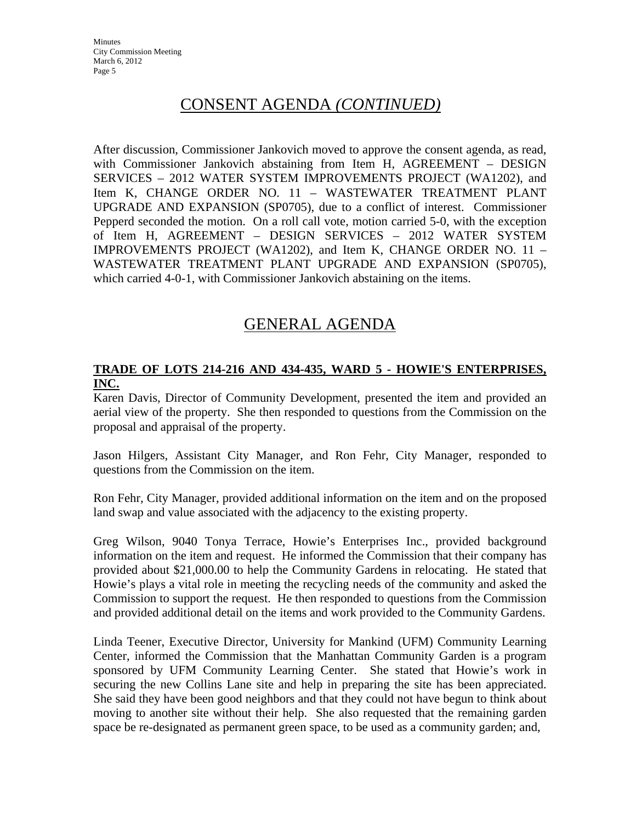## CONSENT AGENDA *(CONTINUED)*

After discussion, Commissioner Jankovich moved to approve the consent agenda, as read, with Commissioner Jankovich abstaining from Item H, AGREEMENT – DESIGN SERVICES – 2012 WATER SYSTEM IMPROVEMENTS PROJECT (WA1202), and Item K, CHANGE ORDER NO. 11 – WASTEWATER TREATMENT PLANT UPGRADE AND EXPANSION (SP0705), due to a conflict of interest. Commissioner Pepperd seconded the motion. On a roll call vote, motion carried 5-0, with the exception of Item H, AGREEMENT – DESIGN SERVICES – 2012 WATER SYSTEM IMPROVEMENTS PROJECT (WA1202), and Item K, CHANGE ORDER NO. 11 – WASTEWATER TREATMENT PLANT UPGRADE AND EXPANSION (SP0705), which carried 4-0-1, with Commissioner Jankovich abstaining on the items.

## GENERAL AGENDA

### **TRADE OF LOTS 214-216 AND 434-435, WARD 5 - HOWIE'S ENTERPRISES, INC.**

Karen Davis, Director of Community Development, presented the item and provided an aerial view of the property. She then responded to questions from the Commission on the proposal and appraisal of the property.

Jason Hilgers, Assistant City Manager, and Ron Fehr, City Manager, responded to questions from the Commission on the item.

Ron Fehr, City Manager, provided additional information on the item and on the proposed land swap and value associated with the adjacency to the existing property.

Greg Wilson, 9040 Tonya Terrace, Howie's Enterprises Inc., provided background information on the item and request. He informed the Commission that their company has provided about \$21,000.00 to help the Community Gardens in relocating. He stated that Howie's plays a vital role in meeting the recycling needs of the community and asked the Commission to support the request. He then responded to questions from the Commission and provided additional detail on the items and work provided to the Community Gardens.

Linda Teener, Executive Director, University for Mankind (UFM) Community Learning Center, informed the Commission that the Manhattan Community Garden is a program sponsored by UFM Community Learning Center. She stated that Howie's work in securing the new Collins Lane site and help in preparing the site has been appreciated. She said they have been good neighbors and that they could not have begun to think about moving to another site without their help. She also requested that the remaining garden space be re-designated as permanent green space, to be used as a community garden; and,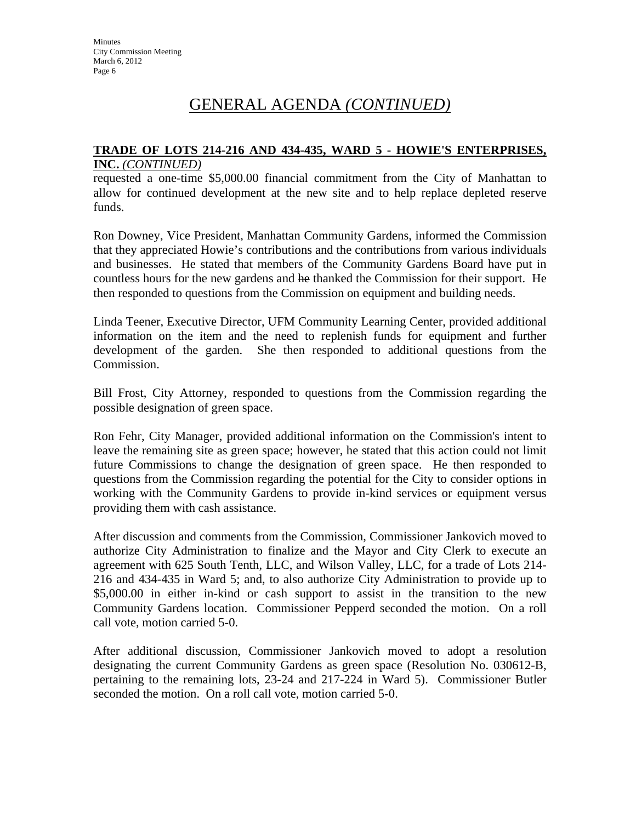# GENERAL AGENDA *(CONTINUED)*

#### **TRADE OF LOTS 214-216 AND 434-435, WARD 5 - HOWIE'S ENTERPRISES, INC.** *(CONTINUED)*

requested a one-time \$5,000.00 financial commitment from the City of Manhattan to allow for continued development at the new site and to help replace depleted reserve funds.

Ron Downey, Vice President, Manhattan Community Gardens, informed the Commission that they appreciated Howie's contributions and the contributions from various individuals and businesses. He stated that members of the Community Gardens Board have put in countless hours for the new gardens and he thanked the Commission for their support. He then responded to questions from the Commission on equipment and building needs.

Linda Teener, Executive Director, UFM Community Learning Center, provided additional information on the item and the need to replenish funds for equipment and further development of the garden. She then responded to additional questions from the Commission.

Bill Frost, City Attorney, responded to questions from the Commission regarding the possible designation of green space.

Ron Fehr, City Manager, provided additional information on the Commission's intent to leave the remaining site as green space; however, he stated that this action could not limit future Commissions to change the designation of green space. He then responded to questions from the Commission regarding the potential for the City to consider options in working with the Community Gardens to provide in-kind services or equipment versus providing them with cash assistance.

After discussion and comments from the Commission, Commissioner Jankovich moved to authorize City Administration to finalize and the Mayor and City Clerk to execute an agreement with 625 South Tenth, LLC, and Wilson Valley, LLC, for a trade of Lots 214- 216 and 434-435 in Ward 5; and, to also authorize City Administration to provide up to \$5,000.00 in either in-kind or cash support to assist in the transition to the new Community Gardens location. Commissioner Pepperd seconded the motion. On a roll call vote, motion carried 5-0.

After additional discussion, Commissioner Jankovich moved to adopt a resolution designating the current Community Gardens as green space (Resolution No. 030612-B, pertaining to the remaining lots, 23-24 and 217-224 in Ward 5). Commissioner Butler seconded the motion. On a roll call vote, motion carried 5-0.